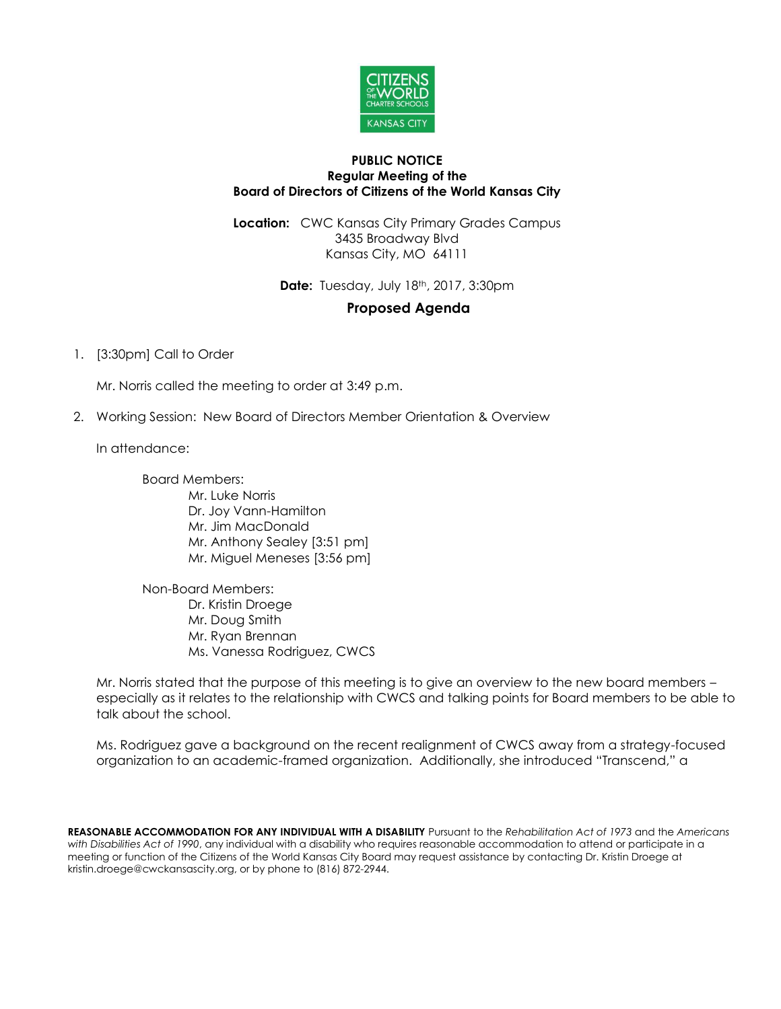

#### **PUBLIC NOTICE Regular Meeting of the Board of Directors of Citizens of the World Kansas City**

**Location:** CWC Kansas City Primary Grades Campus 3435 Broadway Blvd Kansas City, MO 64111

**Date:** Tuesday, July 18th, 2017, 3:30pm

# **Proposed Agenda**

## 1. [3:30pm] Call to Order

Mr. Norris called the meeting to order at 3:49 p.m.

2. Working Session: New Board of Directors Member Orientation & Overview

In attendance:

Board Members: Mr. Luke Norris Dr. Joy Vann-Hamilton Mr. Jim MacDonald Mr. Anthony Sealey [3:51 pm] Mr. Miguel Meneses [3:56 pm]

Non-Board Members: Dr. Kristin Droege Mr. Doug Smith Mr. Ryan Brennan Ms. Vanessa Rodriguez, CWCS

Mr. Norris stated that the purpose of this meeting is to give an overview to the new board members – especially as it relates to the relationship with CWCS and talking points for Board members to be able to talk about the school.

Ms. Rodriguez gave a background on the recent realignment of CWCS away from a strategy-focused organization to an academic-framed organization. Additionally, she introduced "Transcend," a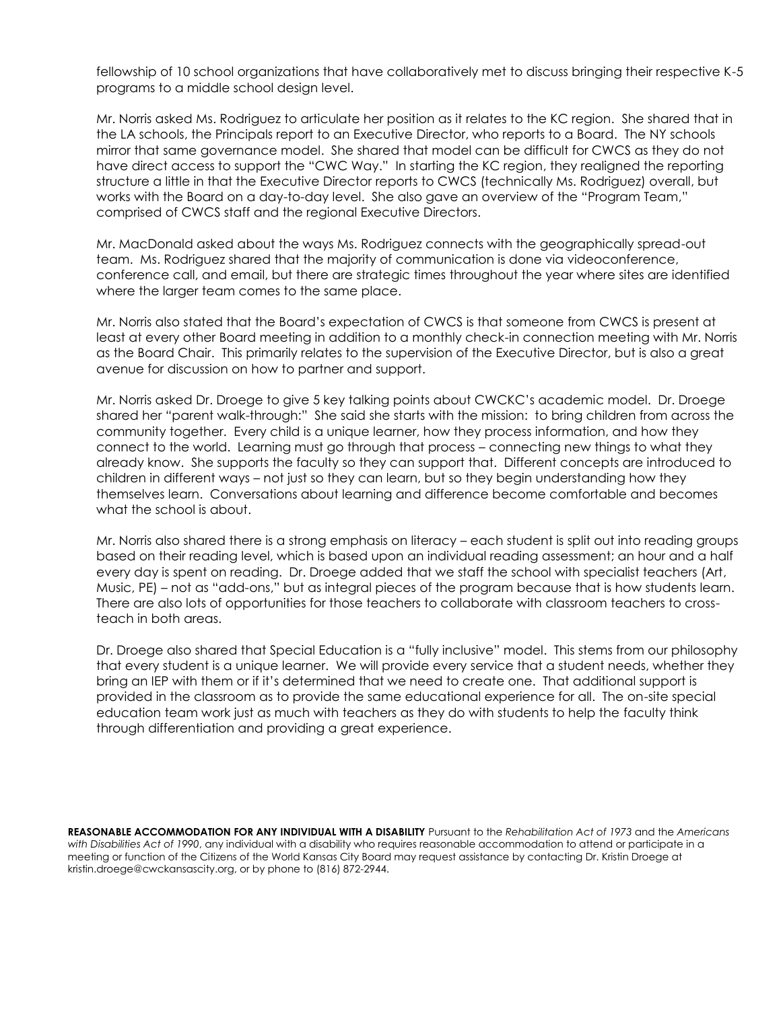fellowship of 10 school organizations that have collaboratively met to discuss bringing their respective K-5 programs to a middle school design level.

Mr. Norris asked Ms. Rodriguez to articulate her position as it relates to the KC region. She shared that in the LA schools, the Principals report to an Executive Director, who reports to a Board. The NY schools mirror that same governance model. She shared that model can be difficult for CWCS as they do not have direct access to support the "CWC Way." In starting the KC region, they realigned the reporting structure a little in that the Executive Director reports to CWCS (technically Ms. Rodriguez) overall, but works with the Board on a day-to-day level. She also gave an overview of the "Program Team," comprised of CWCS staff and the regional Executive Directors.

Mr. MacDonald asked about the ways Ms. Rodriguez connects with the geographically spread-out team. Ms. Rodriguez shared that the majority of communication is done via videoconference, conference call, and email, but there are strategic times throughout the year where sites are identified where the larger team comes to the same place.

Mr. Norris also stated that the Board's expectation of CWCS is that someone from CWCS is present at least at every other Board meeting in addition to a monthly check-in connection meeting with Mr. Norris as the Board Chair. This primarily relates to the supervision of the Executive Director, but is also a great avenue for discussion on how to partner and support.

Mr. Norris asked Dr. Droege to give 5 key talking points about CWCKC's academic model. Dr. Droege shared her "parent walk-through:" She said she starts with the mission: to bring children from across the community together. Every child is a unique learner, how they process information, and how they connect to the world. Learning must go through that process – connecting new things to what they already know. She supports the faculty so they can support that. Different concepts are introduced to children in different ways – not just so they can learn, but so they begin understanding how they themselves learn. Conversations about learning and difference become comfortable and becomes what the school is about.

Mr. Norris also shared there is a strong emphasis on literacy – each student is split out into reading groups based on their reading level, which is based upon an individual reading assessment; an hour and a half every day is spent on reading. Dr. Droege added that we staff the school with specialist teachers (Art, Music, PE) – not as "add-ons," but as integral pieces of the program because that is how students learn. There are also lots of opportunities for those teachers to collaborate with classroom teachers to crossteach in both areas.

Dr. Droege also shared that Special Education is a "fully inclusive" model. This stems from our philosophy that every student is a unique learner. We will provide every service that a student needs, whether they bring an IEP with them or if it's determined that we need to create one. That additional support is provided in the classroom as to provide the same educational experience for all. The on-site special education team work just as much with teachers as they do with students to help the faculty think through differentiation and providing a great experience.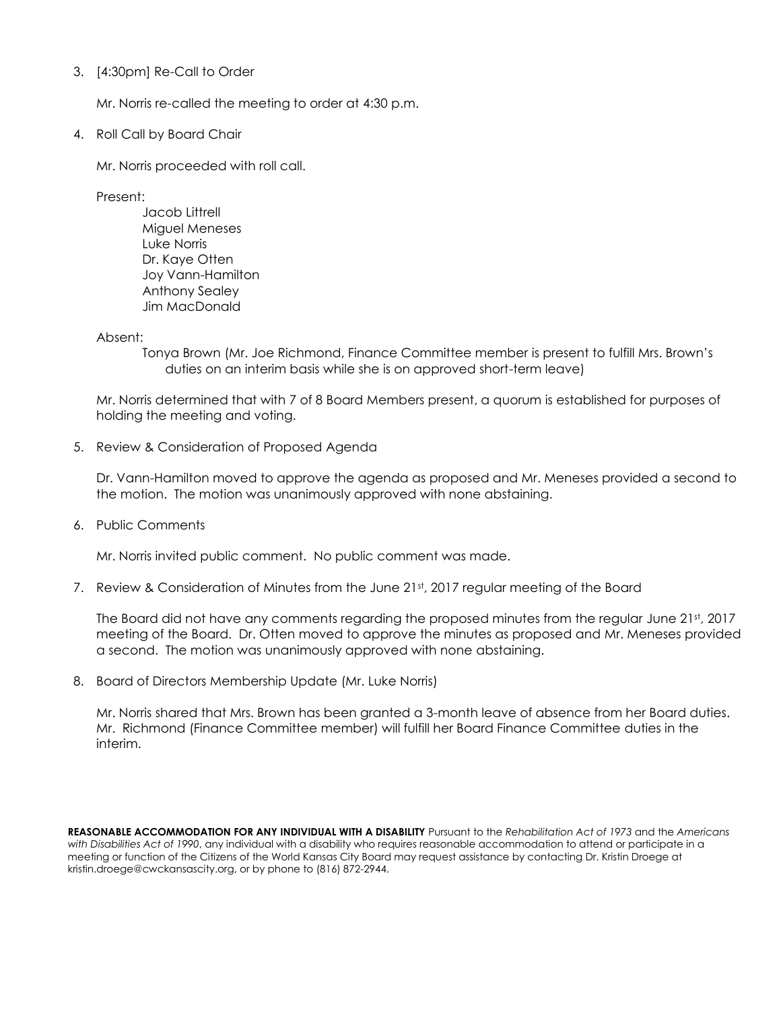## 3. [4:30pm] Re-Call to Order

Mr. Norris re-called the meeting to order at 4:30 p.m.

4. Roll Call by Board Chair

Mr. Norris proceeded with roll call.

Present:

Jacob Littrell Miguel Meneses Luke Norris Dr. Kaye Otten Joy Vann-Hamilton Anthony Sealey Jim MacDonald

Absent:

Tonya Brown (Mr. Joe Richmond, Finance Committee member is present to fulfill Mrs. Brown's duties on an interim basis while she is on approved short-term leave)

Mr. Norris determined that with 7 of 8 Board Members present, a quorum is established for purposes of holding the meeting and voting.

5. Review & Consideration of Proposed Agenda

Dr. Vann-Hamilton moved to approve the agenda as proposed and Mr. Meneses provided a second to the motion. The motion was unanimously approved with none abstaining.

6. Public Comments

Mr. Norris invited public comment. No public comment was made.

7. Review & Consideration of Minutes from the June 21st, 2017 regular meeting of the Board

The Board did not have any comments regarding the proposed minutes from the regular June 21st, 2017 meeting of the Board. Dr. Otten moved to approve the minutes as proposed and Mr. Meneses provided a second. The motion was unanimously approved with none abstaining.

8. Board of Directors Membership Update (Mr. Luke Norris)

Mr. Norris shared that Mrs. Brown has been granted a 3-month leave of absence from her Board duties. Mr. Richmond (Finance Committee member) will fulfill her Board Finance Committee duties in the interim.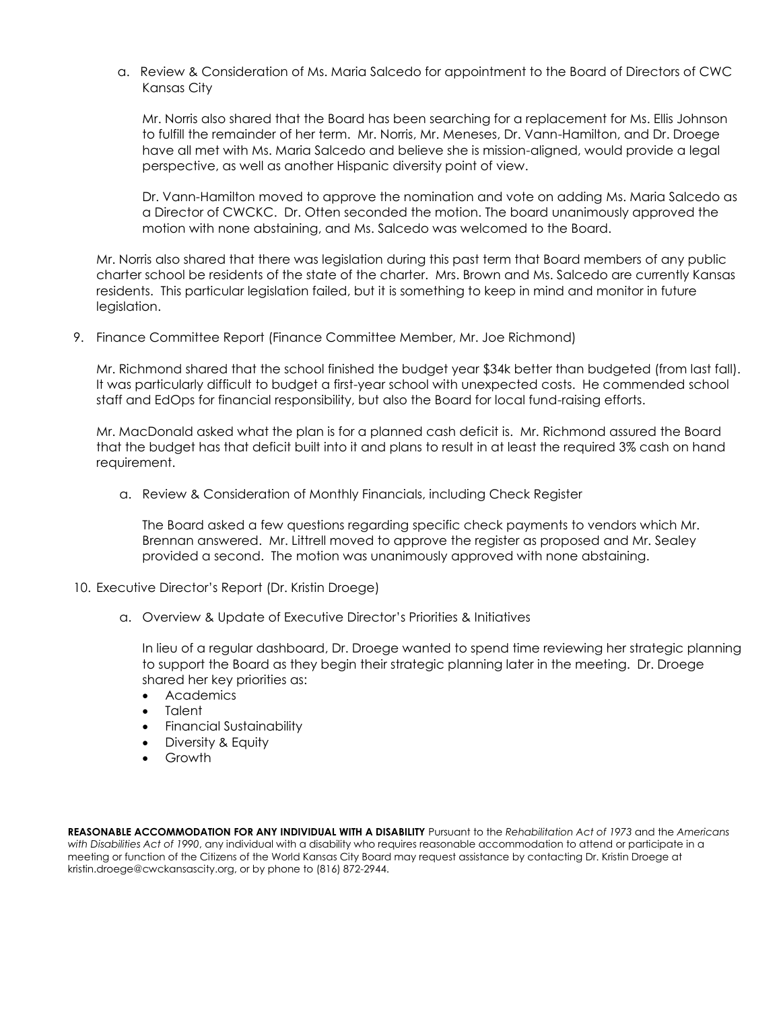a. Review & Consideration of Ms. Maria Salcedo for appointment to the Board of Directors of CWC Kansas City

Mr. Norris also shared that the Board has been searching for a replacement for Ms. Ellis Johnson to fulfill the remainder of her term. Mr. Norris, Mr. Meneses, Dr. Vann-Hamilton, and Dr. Droege have all met with Ms. Maria Salcedo and believe she is mission-aligned, would provide a legal perspective, as well as another Hispanic diversity point of view.

Dr. Vann-Hamilton moved to approve the nomination and vote on adding Ms. Maria Salcedo as a Director of CWCKC. Dr. Otten seconded the motion. The board unanimously approved the motion with none abstaining, and Ms. Salcedo was welcomed to the Board.

Mr. Norris also shared that there was legislation during this past term that Board members of any public charter school be residents of the state of the charter. Mrs. Brown and Ms. Salcedo are currently Kansas residents. This particular legislation failed, but it is something to keep in mind and monitor in future legislation.

9. Finance Committee Report (Finance Committee Member, Mr. Joe Richmond)

Mr. Richmond shared that the school finished the budget year \$34k better than budgeted (from last fall). It was particularly difficult to budget a first-year school with unexpected costs. He commended school staff and EdOps for financial responsibility, but also the Board for local fund-raising efforts.

Mr. MacDonald asked what the plan is for a planned cash deficit is. Mr. Richmond assured the Board that the budget has that deficit built into it and plans to result in at least the required 3% cash on hand requirement.

a. Review & Consideration of Monthly Financials, including Check Register

The Board asked a few questions regarding specific check payments to vendors which Mr. Brennan answered. Mr. Littrell moved to approve the register as proposed and Mr. Sealey provided a second. The motion was unanimously approved with none abstaining.

- 10. Executive Director's Report (Dr. Kristin Droege)
	- a. Overview & Update of Executive Director's Priorities & Initiatives

In lieu of a regular dashboard, Dr. Droege wanted to spend time reviewing her strategic planning to support the Board as they begin their strategic planning later in the meeting. Dr. Droege shared her key priorities as:

- Academics
- Talent
- Financial Sustainability
- Diversity & Equity
- Growth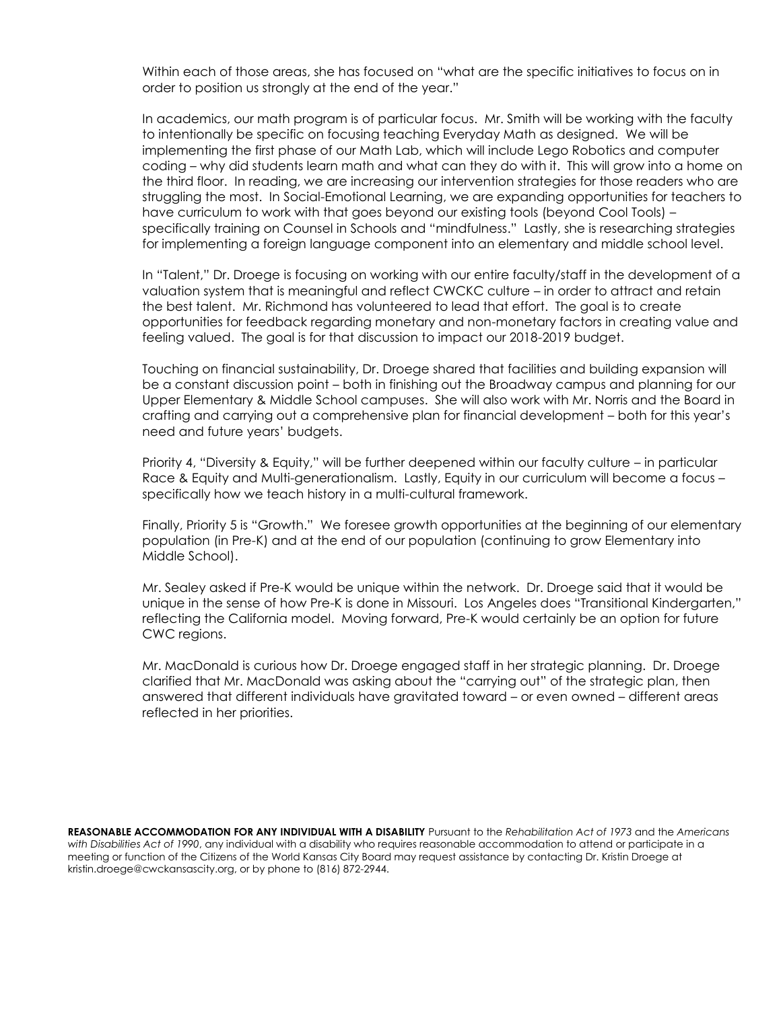Within each of those areas, she has focused on "what are the specific initiatives to focus on in order to position us strongly at the end of the year."

In academics, our math program is of particular focus. Mr. Smith will be working with the faculty to intentionally be specific on focusing teaching Everyday Math as designed. We will be implementing the first phase of our Math Lab, which will include Lego Robotics and computer coding – why did students learn math and what can they do with it. This will grow into a home on the third floor. In reading, we are increasing our intervention strategies for those readers who are struggling the most. In Social-Emotional Learning, we are expanding opportunities for teachers to have curriculum to work with that goes beyond our existing tools (beyond Cool Tools) – specifically training on Counsel in Schools and "mindfulness." Lastly, she is researching strategies for implementing a foreign language component into an elementary and middle school level.

In "Talent," Dr. Droege is focusing on working with our entire faculty/staff in the development of a valuation system that is meaningful and reflect CWCKC culture – in order to attract and retain the best talent. Mr. Richmond has volunteered to lead that effort. The goal is to create opportunities for feedback regarding monetary and non-monetary factors in creating value and feeling valued. The goal is for that discussion to impact our 2018-2019 budget.

Touching on financial sustainability, Dr. Droege shared that facilities and building expansion will be a constant discussion point – both in finishing out the Broadway campus and planning for our Upper Elementary & Middle School campuses. She will also work with Mr. Norris and the Board in crafting and carrying out a comprehensive plan for financial development – both for this year's need and future years' budgets.

Priority 4, "Diversity & Equity," will be further deepened within our faculty culture – in particular Race & Equity and Multi-generationalism. Lastly, Equity in our curriculum will become a focus – specifically how we teach history in a multi-cultural framework.

Finally, Priority 5 is "Growth." We foresee growth opportunities at the beginning of our elementary population (in Pre-K) and at the end of our population (continuing to grow Elementary into Middle School).

Mr. Sealey asked if Pre-K would be unique within the network. Dr. Droege said that it would be unique in the sense of how Pre-K is done in Missouri. Los Angeles does "Transitional Kindergarten," reflecting the California model. Moving forward, Pre-K would certainly be an option for future CWC regions.

Mr. MacDonald is curious how Dr. Droege engaged staff in her strategic planning. Dr. Droege clarified that Mr. MacDonald was asking about the "carrying out" of the strategic plan, then answered that different individuals have gravitated toward – or even owned – different areas reflected in her priorities.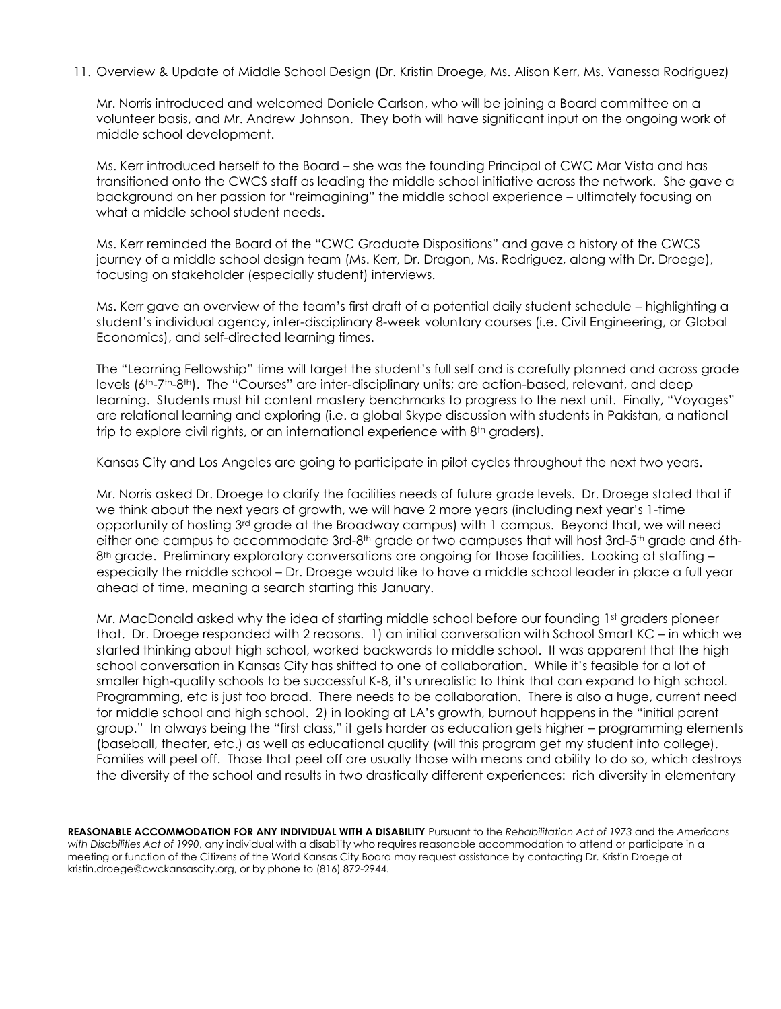11. Overview & Update of Middle School Design (Dr. Kristin Droege, Ms. Alison Kerr, Ms. Vanessa Rodriguez)

Mr. Norris introduced and welcomed Doniele Carlson, who will be joining a Board committee on a volunteer basis, and Mr. Andrew Johnson. They both will have significant input on the ongoing work of middle school development.

Ms. Kerr introduced herself to the Board – she was the founding Principal of CWC Mar Vista and has transitioned onto the CWCS staff as leading the middle school initiative across the network. She gave a background on her passion for "reimagining" the middle school experience – ultimately focusing on what a middle school student needs.

Ms. Kerr reminded the Board of the "CWC Graduate Dispositions" and gave a history of the CWCS journey of a middle school design team (Ms. Kerr, Dr. Dragon, Ms. Rodriguez, along with Dr. Droege), focusing on stakeholder (especially student) interviews.

Ms. Kerr gave an overview of the team's first draft of a potential daily student schedule – highlighting a student's individual agency, inter-disciplinary 8-week voluntary courses (i.e. Civil Engineering, or Global Economics), and self-directed learning times.

The "Learning Fellowship" time will target the student's full self and is carefully planned and across grade levels (6th-7th-8th). The "Courses" are inter-disciplinary units; are action-based, relevant, and deep learning. Students must hit content mastery benchmarks to progress to the next unit. Finally, "Voyages" are relational learning and exploring (i.e. a global Skype discussion with students in Pakistan, a national trip to explore civil rights, or an international experience with 8<sup>th</sup> graders).

Kansas City and Los Angeles are going to participate in pilot cycles throughout the next two years.

Mr. Norris asked Dr. Droege to clarify the facilities needs of future grade levels. Dr. Droege stated that if we think about the next years of growth, we will have 2 more years (including next year's 1-time opportunity of hosting 3rd grade at the Broadway campus) with 1 campus. Beyond that, we will need either one campus to accommodate 3rd-8<sup>th</sup> grade or two campuses that will host 3rd-5<sup>th</sup> grade and 6th-8<sup>th</sup> grade. Preliminary exploratory conversations are ongoing for those facilities. Looking at staffing – especially the middle school – Dr. Droege would like to have a middle school leader in place a full year ahead of time, meaning a search starting this January.

Mr. MacDonald asked why the idea of starting middle school before our founding 1st graders pioneer that. Dr. Droege responded with 2 reasons. 1) an initial conversation with School Smart KC – in which we started thinking about high school, worked backwards to middle school. It was apparent that the high school conversation in Kansas City has shifted to one of collaboration. While it's feasible for a lot of smaller high-quality schools to be successful K-8, it's unrealistic to think that can expand to high school. Programming, etc is just too broad. There needs to be collaboration. There is also a huge, current need for middle school and high school. 2) in looking at LA's growth, burnout happens in the "initial parent group." In always being the "first class," it gets harder as education gets higher – programming elements (baseball, theater, etc.) as well as educational quality (will this program get my student into college). Families will peel off. Those that peel off are usually those with means and ability to do so, which destroys the diversity of the school and results in two drastically different experiences: rich diversity in elementary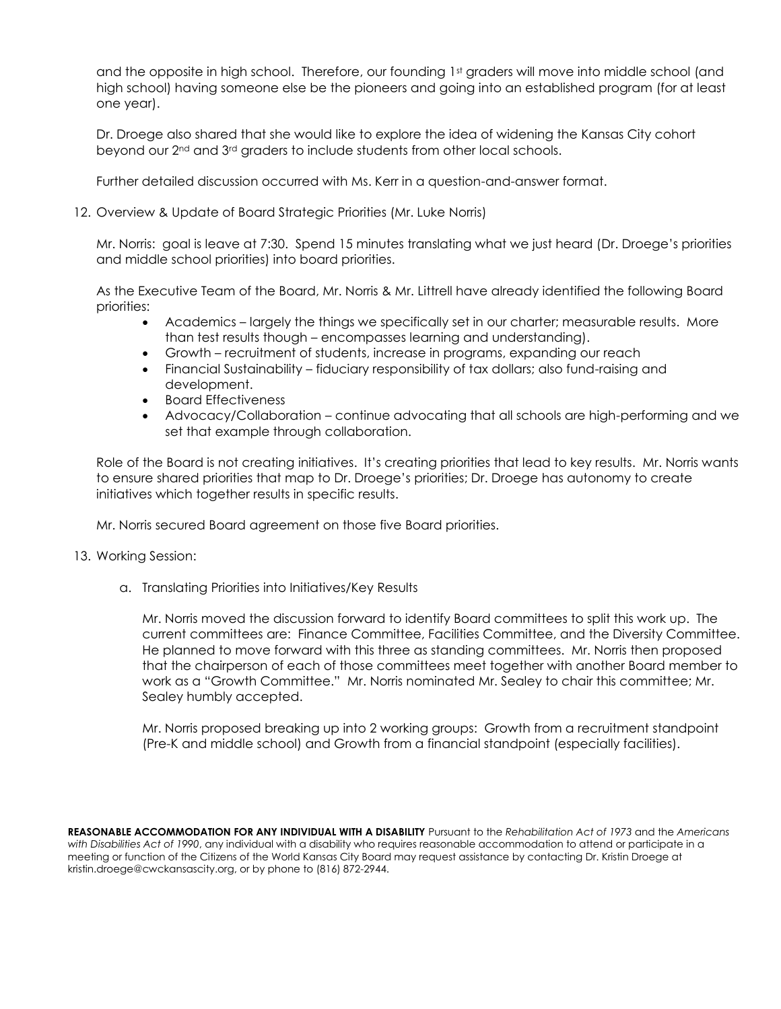and the opposite in high school. Therefore, our founding 1st graders will move into middle school (and high school) having someone else be the pioneers and going into an established program (for at least one year).

Dr. Droege also shared that she would like to explore the idea of widening the Kansas City cohort beyond our 2nd and 3rd graders to include students from other local schools.

Further detailed discussion occurred with Ms. Kerr in a question-and-answer format.

12. Overview & Update of Board Strategic Priorities (Mr. Luke Norris)

Mr. Norris: goal is leave at 7:30. Spend 15 minutes translating what we just heard (Dr. Droege's priorities and middle school priorities) into board priorities.

As the Executive Team of the Board, Mr. Norris & Mr. Littrell have already identified the following Board priorities:

- Academics largely the things we specifically set in our charter; measurable results. More than test results though – encompasses learning and understanding).
- Growth recruitment of students, increase in programs, expanding our reach
- Financial Sustainability fiduciary responsibility of tax dollars; also fund-raising and development.
- Board Effectiveness
- Advocacy/Collaboration continue advocating that all schools are high-performing and we set that example through collaboration.

Role of the Board is not creating initiatives. It's creating priorities that lead to key results. Mr. Norris wants to ensure shared priorities that map to Dr. Droege's priorities; Dr. Droege has autonomy to create initiatives which together results in specific results.

Mr. Norris secured Board agreement on those five Board priorities.

## 13. Working Session:

a. Translating Priorities into Initiatives/Key Results

Mr. Norris moved the discussion forward to identify Board committees to split this work up. The current committees are: Finance Committee, Facilities Committee, and the Diversity Committee. He planned to move forward with this three as standing committees. Mr. Norris then proposed that the chairperson of each of those committees meet together with another Board member to work as a "Growth Committee." Mr. Norris nominated Mr. Sealey to chair this committee; Mr. Sealey humbly accepted.

Mr. Norris proposed breaking up into 2 working groups: Growth from a recruitment standpoint (Pre-K and middle school) and Growth from a financial standpoint (especially facilities).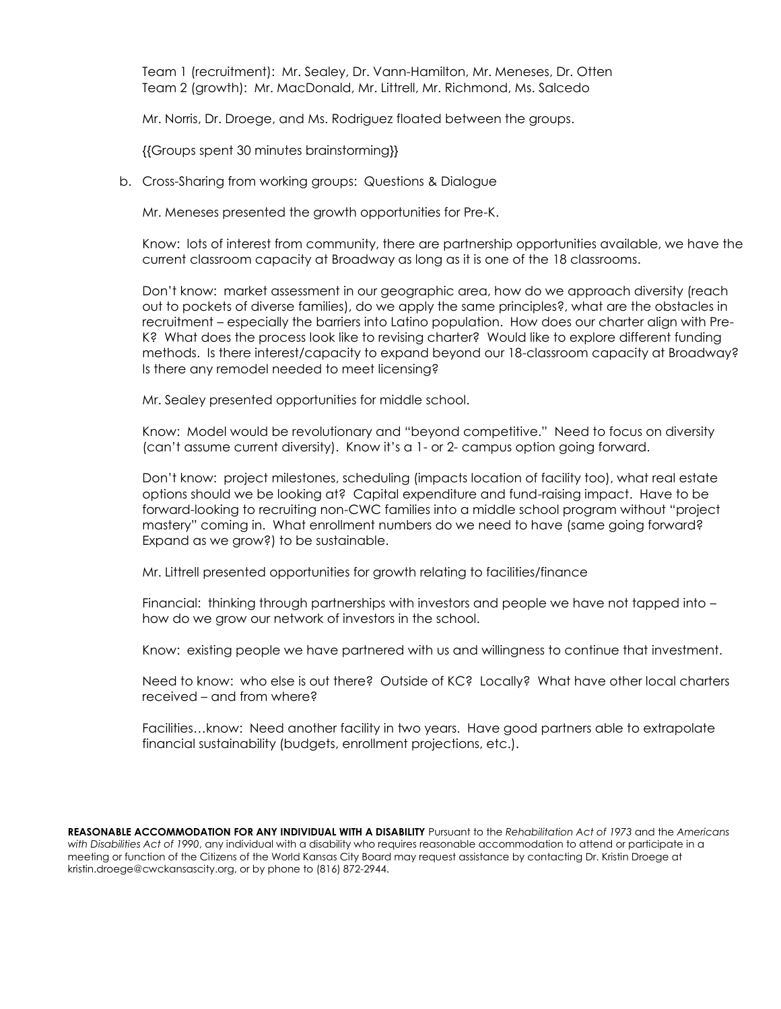Team 1 (recruitment): Mr. Sealey, Dr. Vann-Hamilton, Mr. Meneses, Dr. Otten Team 2 (growth): Mr. MacDonald, Mr. Littrell, Mr. Richmond, Ms. Salcedo

Mr. Norris, Dr. Droege, and Ms. Rodriguez floated between the groups.

{{Groups spent 30 minutes brainstorming}}

b. Cross-Sharing from working groups: Questions & Dialogue

Mr. Meneses presented the growth opportunities for Pre-K.

Know: lots of interest from community, there are partnership opportunities available, we have the current classroom capacity at Broadway as long as it is one of the 18 classrooms.

Don't know: market assessment in our geographic area, how do we approach diversity (reach out to pockets of diverse families), do we apply the same principles?, what are the obstacles in recruitment – especially the barriers into Latino population. How does our charter align with Pre-K? What does the process look like to revising charter? Would like to explore different funding methods. Is there interest/capacity to expand beyond our 18-classroom capacity at Broadway? Is there any remodel needed to meet licensing?

Mr. Sealey presented opportunities for middle school.

Know: Model would be revolutionary and "beyond competitive." Need to focus on diversity (can't assume current diversity). Know it's a 1- or 2- campus option going forward.

Don't know: project milestones, scheduling (impacts location of facility too), what real estate options should we be looking at? Capital expenditure and fund-raising impact. Have to be forward-looking to recruiting non-CWC families into a middle school program without "project mastery" coming in. What enrollment numbers do we need to have (same going forward? Expand as we grow?) to be sustainable.

Mr. Littrell presented opportunities for growth relating to facilities/finance

Financial: thinking through partnerships with investors and people we have not tapped into – how do we grow our network of investors in the school.

Know: existing people we have partnered with us and willingness to continue that investment.

Need to know: who else is out there? Outside of KC? Locally? What have other local charters received – and from where?

Facilities…know: Need another facility in two years. Have good partners able to extrapolate financial sustainability (budgets, enrollment projections, etc.).